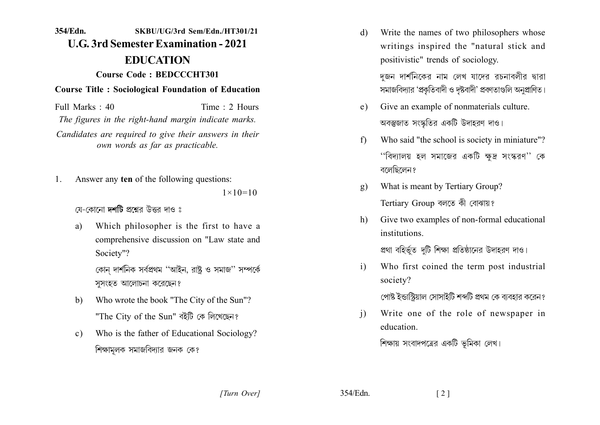## 354/Edn. SKBIJ/IJG/3rd Sem/Edn./HT301/21 **U.G. 3rd Semester Examination - 2021 EDUCATION Course Code: BEDCCCHT301 Course Title: Sociological Foundation of Education**

Time  $\cdot$  2 Hours Full Marks  $\cdot$  40 The figures in the right-hand margin indicate marks. Candidates are required to give their answers in their own words as far as practicable.

Answer any ten of the following questions:  $\mathbf{1}$  $1 \times 10 = 10$ 

যে-কোনো **দশটি** প্ৰশ্নেব উত্তৰ দাও ঃ

Which philosopher is the first to have a a) comprehensive discussion on "Law state and Society"?

> কোন দার্শনিক সর্বপ্রথম ''আইন, রাষ্ট্র ও সমাজ'' সম্পর্কে সসংহত আলোচনা করেছেন?

- Who wrote the book "The City of the Sun"? b) "The City of the Sun" বইটি কে লিখেছেন?
- Who is the father of Educational Sociology?  $\mathbf{c})$ শিক্ষামলক সমাজবিদ্যার জনক কে?

Write the names of two philosophers whose d) writings inspired the "natural stick and positivistic" trends of sociology.

> দজন দার্শনিকের নাম লেখ যাদের রচনাবলীর দ্বারা সমাজবিদ্যার 'প্রকৃতিবাদী ও দৃষ্টবাদী' প্রবণতাগুলি অনুপ্রাণিত।

- Give an example of nonmaterials culture.  $e)$ অবস্তুজাত সংস্কৃতির একটি উদাহরণ দাও।
- Who said "the school is society in miniature"?  $f$ ''বিদ্যালয় হল সমাজের একটি ক্ষদ্র সংস্করণ'' কে বলেছিলেন?
- What is meant by Tertiary Group?  $g)$ Tertiary Group বলতে কী বোঝায়?
- Give two examples of non-formal educational h) institutions

প্রথা বহির্ভূত দটি শিক্ষা প্রতিষ্ঠানের উদাহরণ দাও।

Who first coined the term post industrial  $i)$ society?

পোষ্ট ইন্ডাস্টিয়াল সোসাইটি শব্দটি প্রথম কে ব্যবহার করেন?

Write one of the role of newspaper in  $\mathbf{i}$ education

শিক্ষায় সংবাদপত্রের একটি ভূমিকা লেখ।

354/Edn.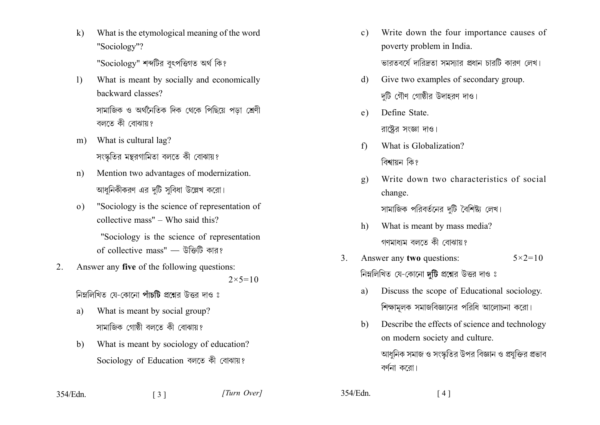$\mathbf{k}$ What is the etymological meaning of the word "Sociology"?

"Sociology" শব্দটির বৎপত্তিগত অর্থ কি?

- What is meant by socially and economically  $\left| \right\rangle$ backward classes? সামাজিক ও অর্থনৈতিক দিক থেকে পিছিয়ে পড়া শ্রেণী বলতে কী বোঝায়?
- What is cultural lag?  $m$ ) সংস্কৃতির মন্তরগামিতা বলতে কী বোঝায়?
- Mention two advantages of modernization.  $n)$ আধুনিকীকরণ এর দুটি সুবিধা উল্লেখ করো।
- "Sociology is the science of representation of  $\Omega$ collective mass" – Who said this?

"Sociology is the science of representation of collective mass" — উক্তিটি কার?

Answer any five of the following questions:  $2$ .  $2 \times 5 = 10$ 

নিম্নলিখিত যে-কোনো পাঁচটি প্রশ্নের উত্তর দাও ঃ

- What is meant by social group? a) সামাজিক গোষ্ঠী বলতে কী বোঝায়?
- What is meant by sociology of education?  $b)$ Sociology of Education বলতে কী বোঝায়?
- Write down the four importance causes of  $c)$ poverty problem in India. ভারতবর্ষে দারিদ্রতা সমস্যার প্রধান চারটি কারণ লেখ।
- Give two examples of secondary group.  $\mathbf{d}$ দটি গৌণ গোষ্ঠীর উদাহরণ দাও।
- Define State.  $e)$ রাষ্টের সংজ্ঞা দাও।
- What is Globalization?  $f$ বিশ্বায়ন কি?
- Write down two characteristics of social  $\mathbf{g}$ ) change.

সামাজিক পরিবর্তনের দটি বৈশিষ্ট্য লেখ।

- What is meant by mass media?  $h$ ) গণমাধ্যম বলতে কী বোঝায়?
- Answer any two questions:  $5 \times 2 = 10$  $\mathcal{E}$ নিম্নলিখিত যে-কোনো দটি প্রশ্নের উত্তর দাও ঃ
	- Discuss the scope of Educational sociology. a) শিক্ষামলক সমাজবিজ্ঞানের পরিধি আলোচনা করো।
	- Describe the effects of science and technology  $h$ on modern society and culture. আধুনিক সমাজ ও সংস্কৃতির উপর বিজ্ঞান ও প্রযুক্তির প্রভাব বৰ্ণনা কৰো।

354/Edn.